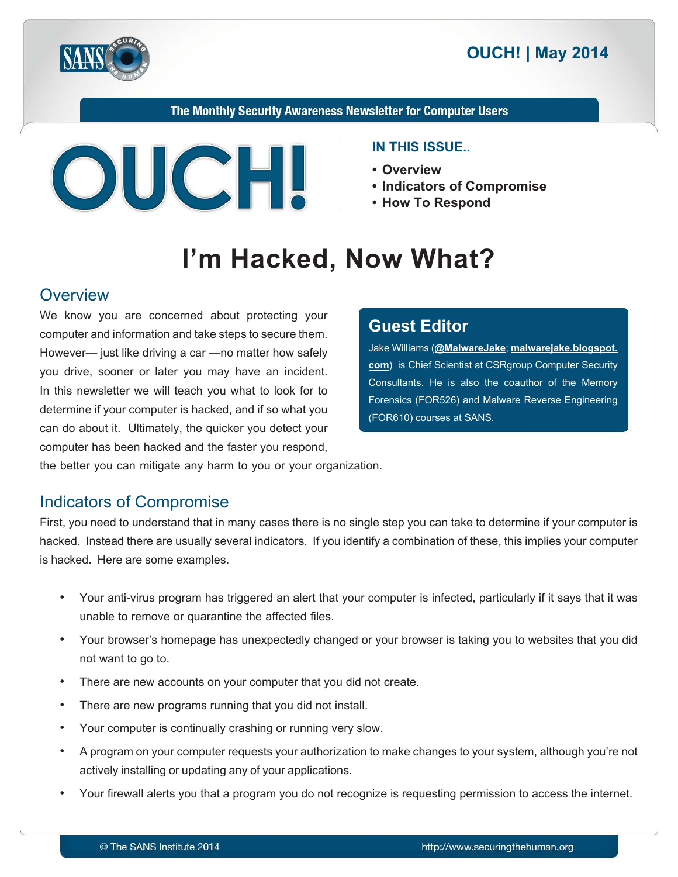

The Monthly Security Awareness Newsletter for Computer Users



#### **IN THIS ISSUE..**

- **Overview•**
- Indicators of Compromise
- How To Respond

# I'm Hacked, Now What?

#### **Overview**

We know you are concerned about protecting your computer and information and take steps to secure them. However— just like driving a car — no matter how safely you drive, sooner or later you may have an incident. In this newsletter we will teach you what to look for to determine if your computer is hacked, and if so what you can do about it. Ultimately, the quicker you detect your computer has been hacked and the faster you respond,

#### **Editor Guest**

**Jake Williams** (@[MalwareJake](https://twitter.com/MalwareJake); malwarejake.blogspot. [com](http://malwarejake.blogspot.com/)) is Chief Scientist at CSRgroup Computer Security Consultants. He is also the coauthor of the Memory Forensics (FOR526) and Malware Reverse Engineering (FOR610) courses at SANS.

the better you can mitigate any harm to you or your organization.

#### **Indicators of Compromise**

First, you need to understand that in many cases there is no single step you can take to determine if your computer is hacked. Instead there are usually several indicators. If you identify a combination of these, this implies your computer is hacked. Here are some examples.

- Your anti-virus program has triggered an alert that your computer is infected, particularly if it says that it was unable to remove or quarantine the affected files.
- Your browser's homepage has unexpectedly changed or your browser is taking you to websites that you did not want to go to.
- There are new accounts on your computer that you did not create.
- There are new programs running that you did not install.
- Your computer is continually crashing or running very slow.
- A program on your computer requests your authorization to make changes to your system, although you're not actively installing or updating any of your applications.
- Your firewall alerts you that a program you do not recognize is requesting permission to access the internet.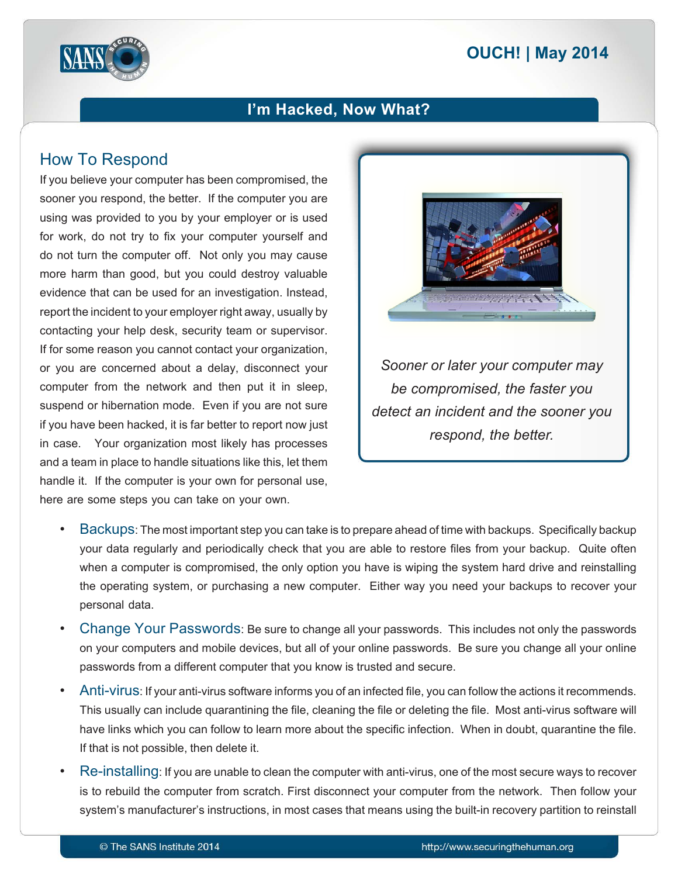# **2014 | OUCH! | May 2014**



### I'm Hacked, Now What?

# **How To Respond**

If you believe your computer has been compromised, the sooner you respond, the better. If the computer you are using was provided to you by your employer or is used for work, do not try to fix your computer yourself and do not turn the computer off. Not only you may cause more harm than good, but you could destroy valuable evidence that can be used for an investigation. Instead, report the incident to your employer right away, usually by contacting your help desk, security team or supervisor. If for some reason you cannot contact your organization, or you are concerned about a delay, disconnect your computer from the network and then put it in sleep, suspend or hibernation mode. Even if you are not sure if you have been hacked, it is far better to report now just in case. Your organization most likely has processes and a team in place to handle situations like this, let them handle it. If the computer is your own for personal use, here are some steps you can take on your own.



**Sooner or later your computer may** *be compromised, the faster you detect an incident and the sooner you respond, the better.* 

- Backups: The most important step you can take is to prepare ahead of time with backups. Specifically backup your data regularly and periodically check that you are able to restore files from your backup. Quite often when a computer is compromised, the only option you have is wiping the system hard drive and reinstalling the operating system, or purchasing a new computer. Either way you need your backups to recover your personal data.
- Change Your Passwords: Be sure to change all your passwords. This includes not only the passwords on your computers and mobile devices, but all of your online passwords. Be sure you change all your online passwords from a different computer that you know is trusted and secure.
- . Anti-virus: If your anti-virus software informs you of an infected file, you can follow the actions it recommends. This usually can include quarantining the file, cleaning the file or deleting the file. Most anti-virus software will have links which you can follow to learn more about the specific infection. When in doubt, quarantine the file. If that is not possible, then delete it.
- Re-installing: If you are unable to clean the computer with anti-virus, one of the most secure ways to recover is to rebuild the computer from scratch. First disconnect your computer from the network. Then follow your system's manufacturer's instructions, in most cases that means using the built-in recovery partition to reinstall